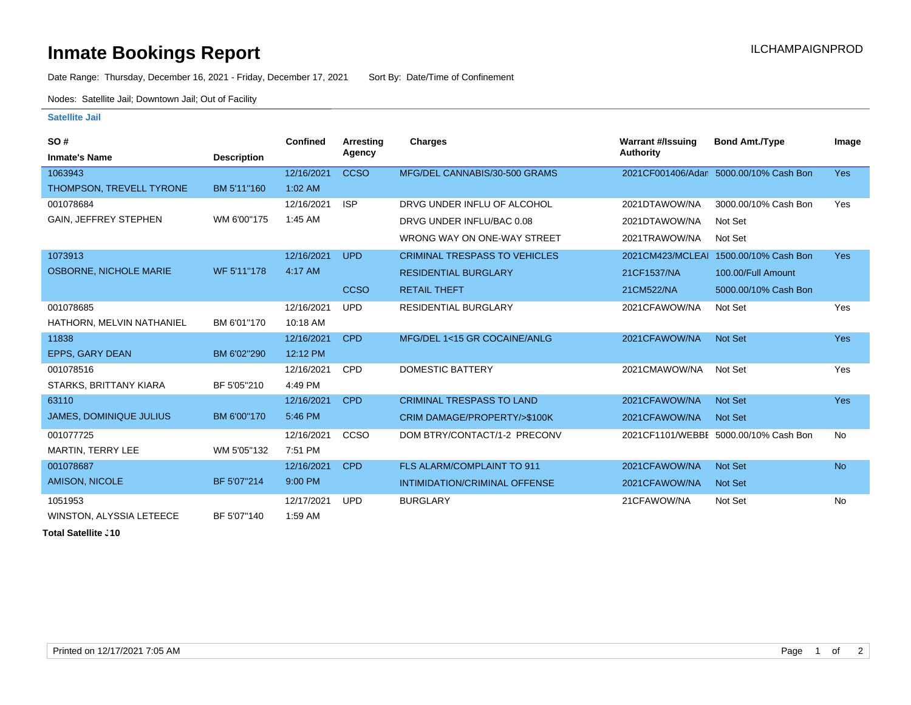## **Inmate Bookings Report Installation ILCHAMPAIGNPROD**

Date Range: Thursday, December 16, 2021 - Friday, December 17, 2021 Sort By: Date/Time of Confinement

Nodes: Satellite Jail; Downtown Jail; Out of Facility

## **Satellite Jail**

| <b>SO#</b>                     |                    | <b>Confined</b> | <b>Arresting</b> | Charges                              | <b>Warrant #/Issuing</b> | <b>Bond Amt./Type</b>                  | Image      |
|--------------------------------|--------------------|-----------------|------------------|--------------------------------------|--------------------------|----------------------------------------|------------|
| <b>Inmate's Name</b>           | <b>Description</b> |                 | Agency           |                                      | Authority                |                                        |            |
| 1063943                        |                    | 12/16/2021      | <b>CCSO</b>      | MFG/DEL CANNABIS/30-500 GRAMS        |                          | 2021CF001406/Adan 5000.00/10% Cash Bon | <b>Yes</b> |
| THOMPSON, TREVELL TYRONE       | BM 5'11"160        | $1:02$ AM       |                  |                                      |                          |                                        |            |
| 001078684                      |                    | 12/16/2021      | <b>ISP</b>       | DRVG UNDER INFLU OF ALCOHOL          | 2021DTAWOW/NA            | 3000.00/10% Cash Bon                   | Yes        |
| <b>GAIN, JEFFREY STEPHEN</b>   | WM 6'00"175        | 1:45 AM         |                  | DRVG UNDER INFLU/BAC 0.08            | 2021DTAWOW/NA            | Not Set                                |            |
|                                |                    |                 |                  | WRONG WAY ON ONE-WAY STREET          | 2021TRAWOW/NA            | Not Set                                |            |
| 1073913                        |                    | 12/16/2021      | <b>UPD</b>       | <b>CRIMINAL TRESPASS TO VEHICLES</b> |                          | 2021CM423/MCLEAI 1500.00/10% Cash Bon  | <b>Yes</b> |
| <b>OSBORNE, NICHOLE MARIE</b>  | WF 5'11"178        | 4:17 AM         |                  | <b>RESIDENTIAL BURGLARY</b>          | 21CF1537/NA              | 100.00/Full Amount                     |            |
|                                |                    |                 | <b>CCSO</b>      | <b>RETAIL THEFT</b>                  | 21CM522/NA               | 5000.00/10% Cash Bon                   |            |
| 001078685                      |                    | 12/16/2021      | <b>UPD</b>       | <b>RESIDENTIAL BURGLARY</b>          | 2021CFAWOW/NA            | Not Set                                | Yes        |
| HATHORN, MELVIN NATHANIEL      | BM 6'01"170        | 10:18 AM        |                  |                                      |                          |                                        |            |
| 11838                          |                    | 12/16/2021      | <b>CPD</b>       | MFG/DEL 1<15 GR COCAINE/ANLG         | 2021CFAWOW/NA            | Not Set                                | Yes        |
| EPPS, GARY DEAN                | BM 6'02"290        | 12:12 PM        |                  |                                      |                          |                                        |            |
| 001078516                      |                    | 12/16/2021      | <b>CPD</b>       | <b>DOMESTIC BATTERY</b>              | 2021CMAWOW/NA            | Not Set                                | Yes        |
| STARKS, BRITTANY KIARA         | BF 5'05"210        | 4:49 PM         |                  |                                      |                          |                                        |            |
| 63110                          |                    | 12/16/2021      | <b>CPD</b>       | <b>CRIMINAL TRESPASS TO LAND</b>     | 2021CFAWOW/NA            | Not Set                                | <b>Yes</b> |
| <b>JAMES, DOMINIQUE JULIUS</b> | BM 6'00"170        | 5:46 PM         |                  | CRIM DAMAGE/PROPERTY/>\$100K         | 2021CFAWOW/NA            | <b>Not Set</b>                         |            |
| 001077725                      |                    | 12/16/2021      | CCSO             | DOM BTRY/CONTACT/1-2 PRECONV         |                          | 2021CF1101/WEBBE 5000.00/10% Cash Bon  | <b>No</b>  |
| MARTIN, TERRY LEE              | WM 5'05"132        | 7:51 PM         |                  |                                      |                          |                                        |            |
| 001078687                      |                    | 12/16/2021      | <b>CPD</b>       | FLS ALARM/COMPLAINT TO 911           | 2021CFAWOW/NA            | <b>Not Set</b>                         | <b>No</b>  |
| <b>AMISON, NICOLE</b>          | BF 5'07"214        | 9:00 PM         |                  | INTIMIDATION/CRIMINAL OFFENSE        | 2021CFAWOW/NA            | <b>Not Set</b>                         |            |
| 1051953                        |                    | 12/17/2021      | <b>UPD</b>       | <b>BURGLARY</b>                      | 21CFAWOW/NA              | Not Set                                | <b>No</b>  |
| WINSTON, ALYSSIA LETEECE       | BF 5'07"140        | 1:59 AM         |                  |                                      |                          |                                        |            |

**Total Satellite . 10**